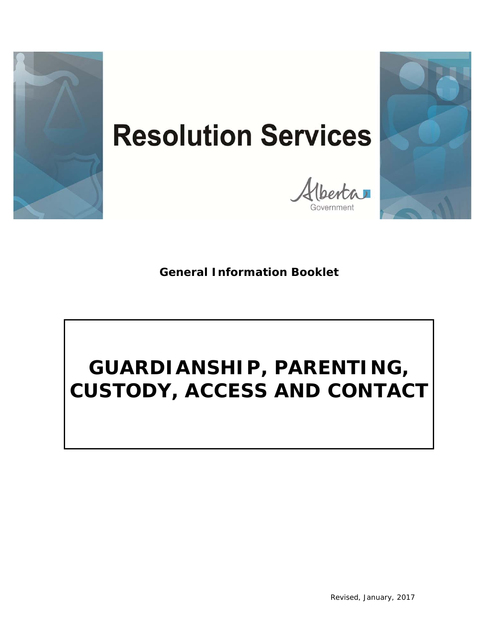

# **Resolution Services**

Alberta



**General Information Booklet**

## **GUARDIANSHIP, PARENTING, CUSTODY, ACCESS AND CONTACT**

*Revised, January, 2017*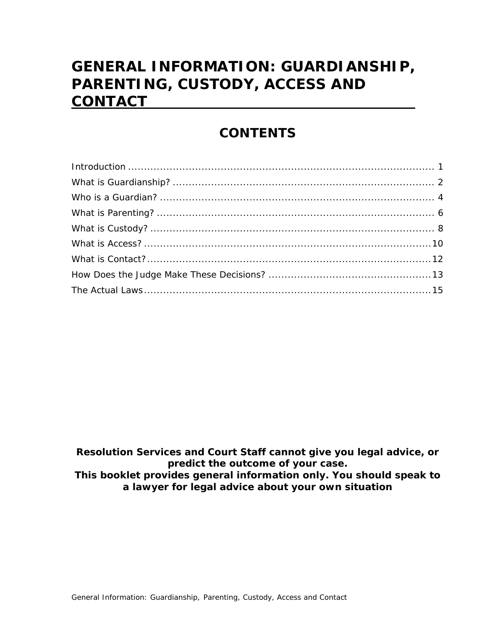## **GENERAL INFORMATION: GUARDIANSHIP, PARENTING, CUSTODY, ACCESS AND CONTACT**

#### *CONTENTS*

*Resolution Services and Court Staff cannot give you legal advice, or predict the outcome of your case. This booklet provides general information only. You should speak to a lawyer for legal advice about your own situation*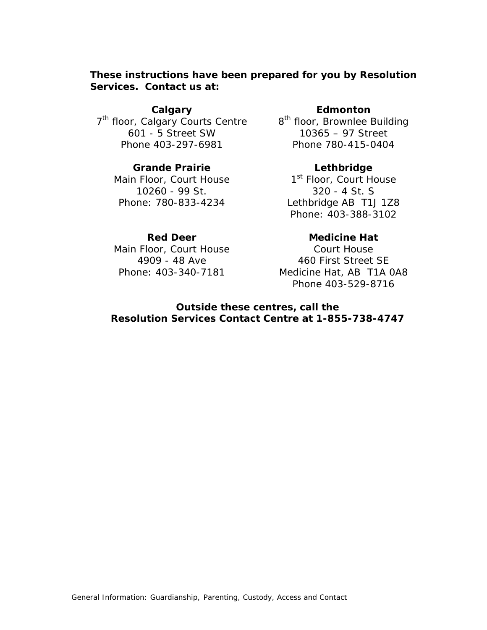#### **These instructions have been prepared for you by Resolution Services. Contact us at:**

**Calgary**  7<sup>th</sup> floor, Calgary Courts Centre 8<sup>th</sup> floor, Brownlee Building 601 - 5 Street SW Phone 403-297-6981

#### **Grande Prairie**

Main Floor, Court House 10260 - 99 St. Phone: 780-833-4234

**Edmonton**

10365 – 97 Street Phone 780-415-0404

#### **Lethbridge**

1<sup>st</sup> Floor, Court House 320 - 4 St. S Lethbridge AB T1J 1Z8 Phone: 403-388-3102

#### **Red Deer**

Main Floor, Court House 4909 - 48 Ave Phone: 403-340-7181

#### **Medicine Hat**

Court House 460 First Street SE Medicine Hat, AB T1A 0A8 Phone 403-529-8716

#### **Outside these centres, call the Resolution Services Contact Centre at 1-855-738-4747**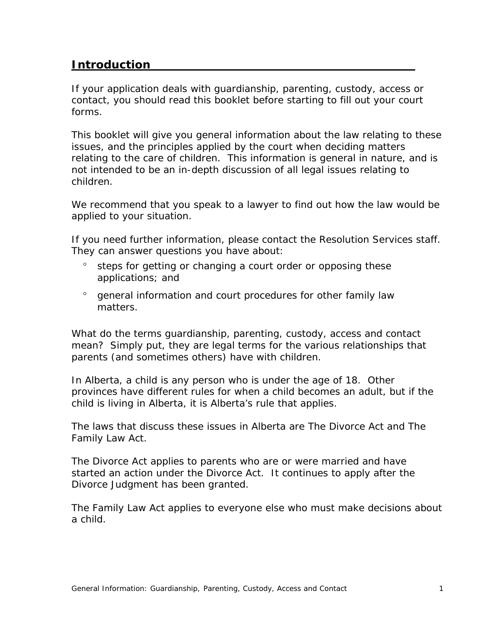#### **Introduction**

If your application deals with guardianship, parenting, custody, access or contact, you should read this booklet before starting to fill out your court forms.

This booklet will give you general information about the law relating to these issues, and the principles applied by the court when deciding matters relating to the care of children. This information is general in nature, and is not intended to be an in-depth discussion of all legal issues relating to children.

We recommend that you speak to a lawyer to find out how the law would be applied to your situation.

If you need further information, please contact the Resolution Services staff. They can answer questions you have about:

- steps for getting or changing a court order or opposing these applications; and
- <sup>o</sup> general information and court procedures for other family law matters.

What do the terms guardianship, parenting, custody, access and contact mean? Simply put, they are legal terms for the various relationships that parents (and sometimes others) have with children.

In Alberta, a child is any person who is under the age of 18. Other provinces have different rules for when a child becomes an adult, but if the child is living in Alberta, it is Alberta's rule that applies.

The laws that discuss these issues in Alberta are *The Divorce Act* and *The Family Law Act*.

*The Divorce Act* applies to parents who are or were married and have started an action under the *Divorce Act*. It continues to apply after the Divorce Judgment has been granted.

*The Family Law Act* applies to everyone else who must make decisions about a child.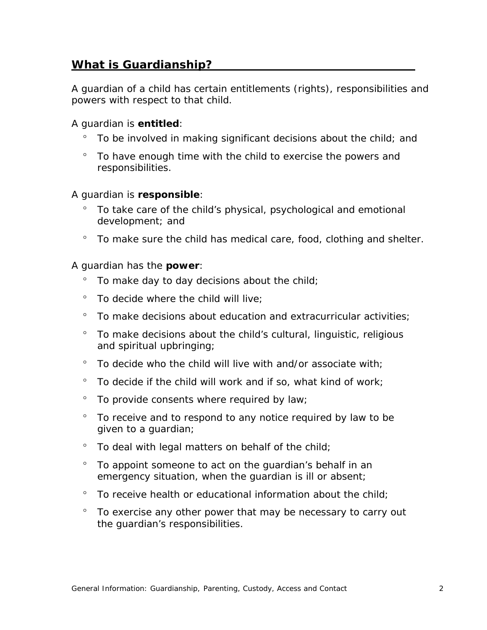#### **What is Guardianship?**

A guardian of a child has certain entitlements (rights), responsibilities and powers with respect to that child.

#### A guardian is **entitled**:

- To be involved in making significant decisions about the child; and
- To have enough time with the child to exercise the powers and responsibilities.

#### A guardian is **responsible**:

- To take care of the child's physical, psychological and emotional development; and
- <sup>o</sup> To make sure the child has medical care, food, clothing and shelter.

#### A guardian has the **power**:

- To make day to day decisions about the child;
- To decide where the child will live;
- To make decisions about education and extracurricular activities;
- <sup>o</sup> To make decisions about the child's cultural, linguistic, religious and spiritual upbringing;
- $\degree$  To decide who the child will live with and/or associate with;
- $\degree$  To decide if the child will work and if so, what kind of work;
- $\degree$  To provide consents where required by law;
- ° To receive and to respond to any notice required by law to be given to a guardian;
- $\degree$  To deal with legal matters on behalf of the child;
- To appoint someone to act on the guardian's behalf in an emergency situation, when the guardian is ill or absent;
- $\degree$  To receive health or educational information about the child;
- To exercise any other power that may be necessary to carry out the guardian's responsibilities.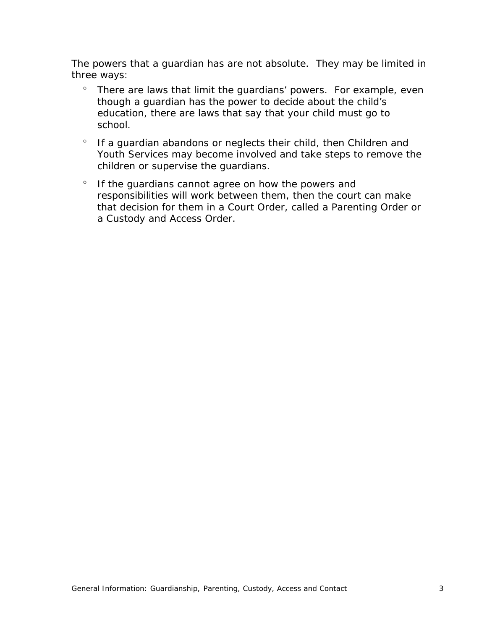The powers that a guardian has are not absolute. They may be limited in three ways:

- There are laws that limit the guardians' powers. For example, even though a guardian has the power to decide about the child's education, there are laws that say that your child must go to school.
- ° If a guardian abandons or neglects their child, then Children and Youth Services may become involved and take steps to remove the children or supervise the guardians.
- <sup>o</sup> If the quardians cannot agree on how the powers and responsibilities will work between them, then the court can make that decision for them in a Court Order, called a Parenting Order or a Custody and Access Order.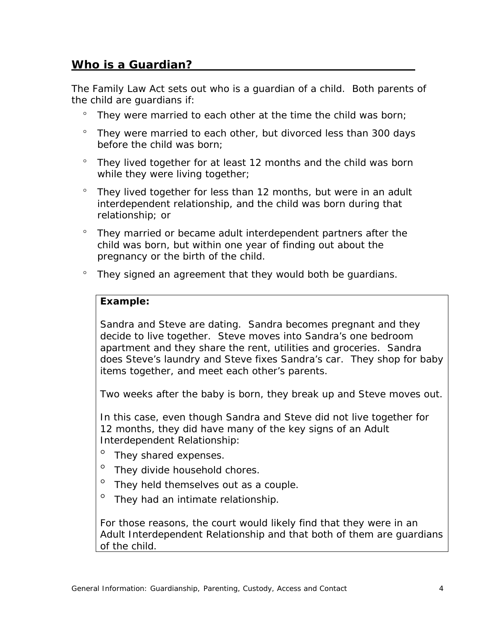#### **Who is a Guardian?**

The *Family Law Act* sets out who is a guardian of a child. Both parents of the child are guardians if:

- $\degree$  They were married to each other at the time the child was born;
- They were married to each other, but divorced less than 300 days before the child was born;
- They lived together for at least 12 months and the child was born while they were living together;
- $\degree$  They lived together for less than 12 months, but were in an adult interdependent relationship, and the child was born during that relationship; or
- <sup>o</sup> They married or became adult interdependent partners after the child was born, but within one year of finding out about the pregnancy or the birth of the child.
- They signed an agreement that they would both be guardians.

#### *Example:*

Sandra and Steve are dating. Sandra becomes pregnant and they decide to live together. Steve moves into Sandra's one bedroom apartment and they share the rent, utilities and groceries. Sandra does Steve's laundry and Steve fixes Sandra's car. They shop for baby items together, and meet each other's parents.

Two weeks after the baby is born, they break up and Steve moves out.

In this case, even though Sandra and Steve did not live together for 12 months, they did have many of the key signs of an Adult Interdependent Relationship:

- <sup>o</sup> They shared expenses.
- <sup>o</sup> They divide household chores.
- <sup>o</sup> They held themselves out as a couple.
- <sup>o</sup> They had an intimate relationship.

For those reasons, the court would likely find that they were in an Adult Interdependent Relationship and that both of them are guardians of the child.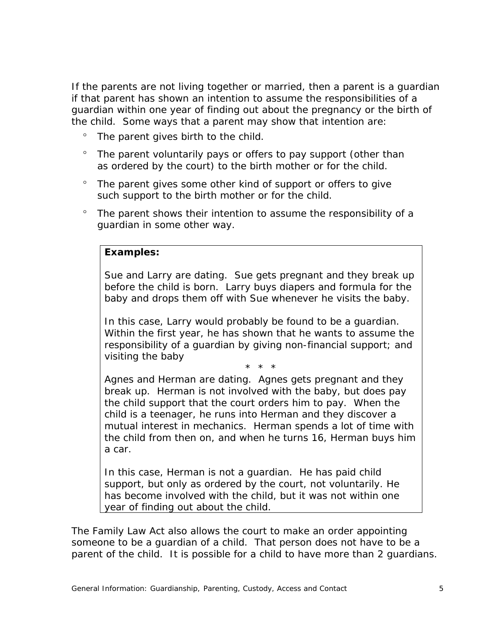If the parents are not living together or married, then a parent is a guardian if that parent has shown an intention to assume the responsibilities of a guardian within one year of finding out about the pregnancy or the birth of the child. Some ways that a parent may show that intention are:

- The parent gives birth to the child.
- The parent voluntarily pays or offers to pay support (other than as ordered by the court) to the birth mother or for the child.
- <sup>o</sup> The parent gives some other kind of support or offers to give such support to the birth mother or for the child.
- The parent shows their intention to assume the responsibility of a guardian in some other way.

#### *Examples:*

Sue and Larry are dating. Sue gets pregnant and they break up before the child is born. Larry buys diapers and formula for the baby and drops them off with Sue whenever he visits the baby.

In this case, Larry would probably be found to be a guardian. Within the first year, he has shown that he wants to assume the responsibility of a guardian by giving non-financial support; and visiting the baby

\* \* \*

Agnes and Herman are dating. Agnes gets pregnant and they break up. Herman is not involved with the baby, but does pay the child support that the court orders him to pay. When the child is a teenager, he runs into Herman and they discover a mutual interest in mechanics. Herman spends a lot of time with the child from then on, and when he turns 16, Herman buys him a car.

In this case, Herman is not a guardian. He has paid child support, but only as ordered by the court, not voluntarily. He has become involved with the child, but it was not within one year of finding out about the child.

The *Family Law Act* also allows the court to make an order appointing someone to be a guardian of a child. That person does not have to be a parent of the child. It is possible for a child to have more than 2 guardians.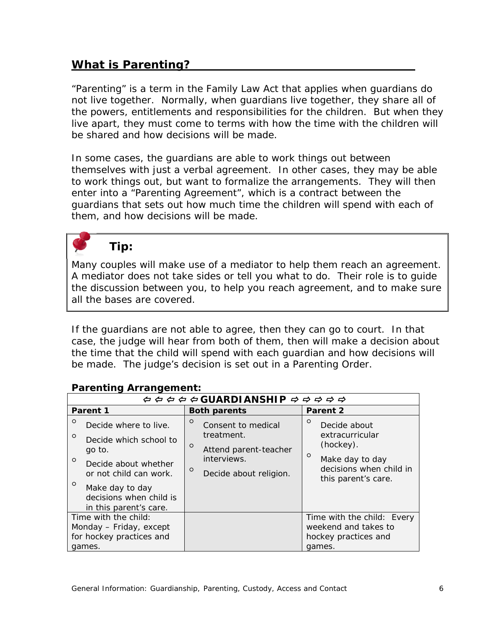#### **What is Parenting?**

"Parenting" is a term in the *Family Law Act* that applies when guardians do not live together. Normally, when guardians live together, they share all of the powers, entitlements and responsibilities for the children. But when they live apart, they must come to terms with how the time with the children will be shared and how decisions will be made.

In some cases, the guardians are able to work things out between themselves with just a verbal agreement. In other cases, they may be able to work things out, but want to formalize the arrangements. They will then enter into a "Parenting Agreement", which is a contract between the guardians that sets out how much time the children will spend with each of them, and how decisions will be made.



#### *Tip:*

Many couples will make use of a mediator to help them reach an agreement. A mediator does not take sides or tell you what to do. Their role is to guide the discussion between you, to help you reach agreement, and to make sure all the bases are covered.

If the guardians are not able to agree, then they can go to court. In that case, the judge will hear from both of them, then will make a decision about the time that the child will spend with each guardian and how decisions will be made. The judge's decision is set out in a Parenting Order.

| $\phi \Leftrightarrow \phi \Leftrightarrow \sigma$ GUARDIANSHIP $\phi \Leftrightarrow \phi \Leftrightarrow \phi$                                                                                                                |                                                                                                                                     |                                                                                                                                         |  |  |  |  |  |
|---------------------------------------------------------------------------------------------------------------------------------------------------------------------------------------------------------------------------------|-------------------------------------------------------------------------------------------------------------------------------------|-----------------------------------------------------------------------------------------------------------------------------------------|--|--|--|--|--|
| Parent 1                                                                                                                                                                                                                        | <b>Both parents</b>                                                                                                                 | Parent 2                                                                                                                                |  |  |  |  |  |
| $\circ$<br>Decide where to live.<br>$\circ$<br>Decide which school to<br>go to.<br>$\circ$<br>Decide about whether<br>or not child can work.<br>$\circ$<br>Make day to day<br>decisions when child is<br>in this parent's care. | $\circ$<br>Consent to medical<br>treatment.<br>$\circ$<br>Attend parent-teacher<br>interviews.<br>$\circ$<br>Decide about religion. | $\circ$<br>Decide about<br>extracurricular<br>(hockey).<br>$\circ$<br>Make day to day<br>decisions when child in<br>this parent's care. |  |  |  |  |  |
| Time with the child:<br>Monday - Friday, except<br>for hockey practices and<br>games.                                                                                                                                           |                                                                                                                                     | Time with the child: Every<br>weekend and takes to<br>hockey practices and<br>games.                                                    |  |  |  |  |  |

#### **Parenting Arrangement:**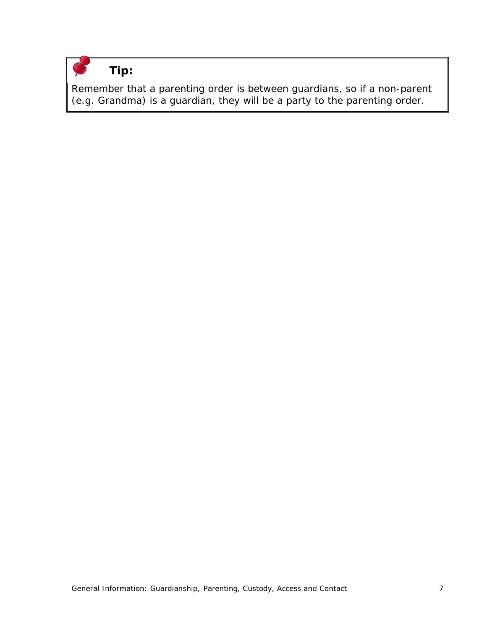

#### *Tip:*

Remember that a parenting order is between guardians, so if a non-parent (e.g. Grandma) is a guardian, they will be a party to the parenting order.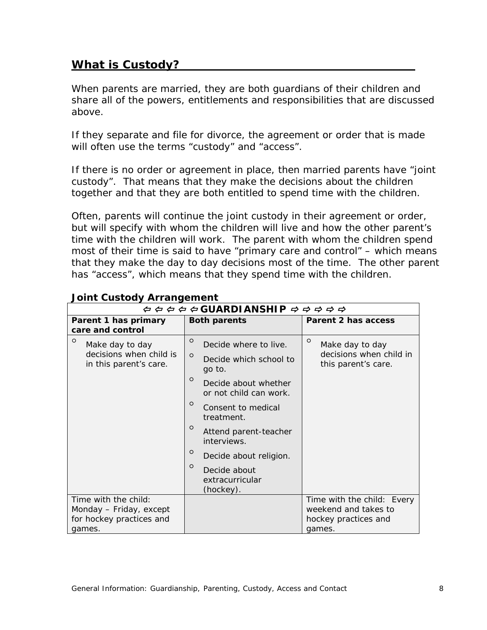#### **What is Custody?**

When parents are married, they are both guardians of their children and share all of the powers, entitlements and responsibilities that are discussed above.

If they separate and file for divorce, the agreement or order that is made will often use the terms "custody" and "access".

If there is no order or agreement in place, then married parents have "joint custody". That means that they make the decisions about the children together and that they are both entitled to spend time with the children.

Often, parents will continue the joint custody in their agreement or order, but will specify with whom the children will live and how the other parent's time with the children will work. The parent with whom the children spend most of their time is said to have "primary care and control" – which means that they make the day to day decisions most of the time. The other parent has "access", which means that they spend time with the children.

| $\phi \Leftrightarrow \phi \Leftrightarrow \sigma$ GUARDIANSHIP $\Rightarrow \Rightarrow \Rightarrow \Rightarrow \Rightarrow$ |                                                                                 |                                                                              |  |  |  |
|-------------------------------------------------------------------------------------------------------------------------------|---------------------------------------------------------------------------------|------------------------------------------------------------------------------|--|--|--|
| Parent 1 has primary<br>care and control                                                                                      | <b>Both parents</b>                                                             | Parent 2 has access                                                          |  |  |  |
| $\circ$<br>Make day to day<br>decisions when child is<br>in this parent's care.                                               | $\circ$<br>Decide where to live.<br>$\circ$<br>Decide which school to<br>go to. | $\circ$<br>Make day to day<br>decisions when child in<br>this parent's care. |  |  |  |
|                                                                                                                               | $\circ$<br>Decide about whether<br>or not child can work.                       |                                                                              |  |  |  |
|                                                                                                                               | $\circ$<br>Consent to medical<br>treatment.                                     |                                                                              |  |  |  |
|                                                                                                                               | $\circ$<br>Attend parent-teacher<br>interviews.                                 |                                                                              |  |  |  |
|                                                                                                                               | $\circ$<br>Decide about religion.                                               |                                                                              |  |  |  |
|                                                                                                                               | $\circ$<br>Decide about<br>extracurricular<br>(hockey).                         |                                                                              |  |  |  |
| Time with the child:                                                                                                          |                                                                                 | Time with the child: Every                                                   |  |  |  |
| Monday - Friday, except<br>for hockey practices and                                                                           |                                                                                 | weekend and takes to<br>hockey practices and                                 |  |  |  |
| games.                                                                                                                        |                                                                                 | games.                                                                       |  |  |  |

#### **Joint Custody Arrangement**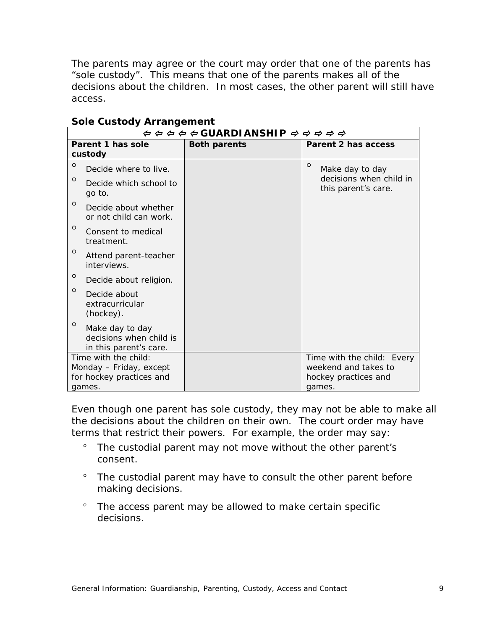The parents may agree or the court may order that one of the parents has "sole custody". This means that one of the parents makes all of the decisions about the children. In most cases, the other parent will still have access.

| $\phi \Leftrightarrow \phi \Leftrightarrow \sigma$ GUARDI ANSHIP $\phi \Leftrightarrow \phi \Leftrightarrow \phi$ |                     |  |                                                                        |  |
|-------------------------------------------------------------------------------------------------------------------|---------------------|--|------------------------------------------------------------------------|--|
| Parent 1 has sole<br>custody                                                                                      | <b>Both parents</b> |  | Parent 2 has access                                                    |  |
| $\circ$<br>Decide where to live.<br>$\circ$<br>Decide which school to<br>go to.                                   |                     |  | O<br>Make day to day<br>decisions when child in<br>this parent's care. |  |
| $\circ$<br>Decide about whether<br>or not child can work.                                                         |                     |  |                                                                        |  |
| $\circ$<br>Consent to medical<br>treatment.                                                                       |                     |  |                                                                        |  |
| $\circ$<br>Attend parent-teacher<br>interviews.                                                                   |                     |  |                                                                        |  |
| $\circ$<br>Decide about religion.                                                                                 |                     |  |                                                                        |  |
| O<br>Decide about<br>extracurricular<br>(hockey).                                                                 |                     |  |                                                                        |  |
| $\circ$<br>Make day to day<br>decisions when child is<br>in this parent's care.                                   |                     |  |                                                                        |  |
| Time with the child:                                                                                              |                     |  | Time with the child: Every                                             |  |
| Monday - Friday, except                                                                                           |                     |  | weekend and takes to                                                   |  |
| for hockey practices and<br>games.                                                                                |                     |  | hockey practices and<br>games.                                         |  |

#### **Sole Custody Arrangement**

Even though one parent has sole custody, they may not be able to make all the decisions about the children on their own. The court order may have terms that restrict their powers. For example, the order may say:

- <sup>o</sup> The custodial parent may not move without the other parent's consent.
- The custodial parent may have to consult the other parent before making decisions.
- The access parent may be allowed to make certain specific decisions.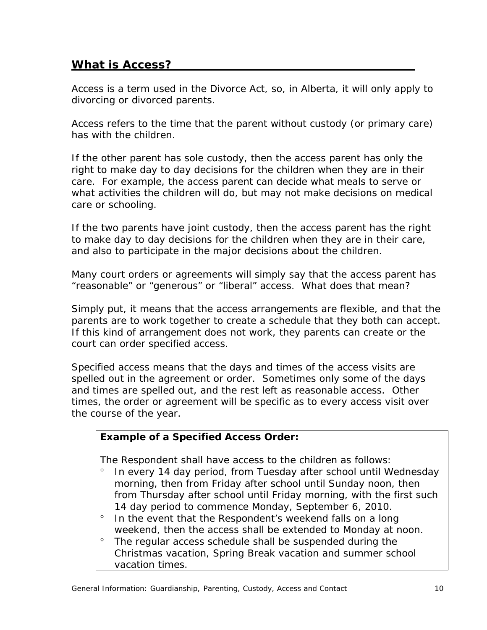#### **What is Access?**

Access is a term used in the *Divorce Act*, so, in Alberta, it will only apply to divorcing or divorced parents.

Access refers to the time that the parent without custody (or primary care) has with the children.

If the other parent has sole custody, then the access parent has only the right to make day to day decisions for the children when they are in their care. For example, the access parent can decide what meals to serve or what activities the children will do, but may not make decisions on medical care or schooling.

If the two parents have joint custody, then the access parent has the right to make day to day decisions for the children when they are in their care, and also to participate in the major decisions about the children.

Many court orders or agreements will simply say that the access parent has "reasonable" or "generous" or "liberal" access. What does that mean?

Simply put, it means that the access arrangements are flexible, and that the parents are to work together to create a schedule that they both can accept. If this kind of arrangement does not work, they parents can create or the court can order specified access.

Specified access means that the days and times of the access visits are spelled out in the agreement or order. Sometimes only some of the days and times are spelled out, and the rest left as reasonable access. Other times, the order or agreement will be specific as to every access visit over the course of the year.

#### *Example of a Specified Access Order:*

The Respondent shall have access to the children as follows:

- In every 14 day period, from Tuesday after school until Wednesday morning, then from Friday after school until Sunday noon, then from Thursday after school until Friday morning, with the first such 14 day period to commence Monday, September 6, 2010.
- ° In the event that the Respondent's weekend falls on a long weekend, then the access shall be extended to Monday at noon.
- The regular access schedule shall be suspended during the Christmas vacation, Spring Break vacation and summer school vacation times.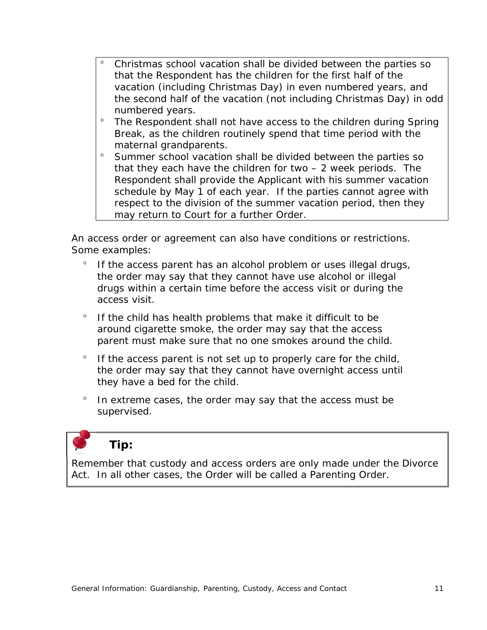- Christmas school vacation shall be divided between the parties so that the Respondent has the children for the first half of the vacation (including Christmas Day) in even numbered years, and the second half of the vacation (not including Christmas Day) in odd numbered years.
- ° The Respondent shall not have access to the children during Spring Break, as the children routinely spend that time period with the maternal grandparents.
- <sup>o</sup> Summer school vacation shall be divided between the parties so that they each have the children for two – 2 week periods. The Respondent shall provide the Applicant with his summer vacation schedule by May 1 of each year. If the parties cannot agree with respect to the division of the summer vacation period, then they may return to Court for a further Order.

An access order or agreement can also have conditions or restrictions. Some examples:

- ° If the access parent has an alcohol problem or uses illegal drugs, the order may say that they cannot have use alcohol or illegal drugs within a certain time before the access visit or during the access visit.
- $\degree$  If the child has health problems that make it difficult to be around cigarette smoke, the order may say that the access parent must make sure that no one smokes around the child.
- $\degree$  If the access parent is not set up to properly care for the child, the order may say that they cannot have overnight access until they have a bed for the child.
- $\degree$  In extreme cases, the order may say that the access must be supervised.

*Tip:*

Remember that custody and access orders are only made under the *Divorce Act*. In all other cases, the Order will be called a Parenting Order.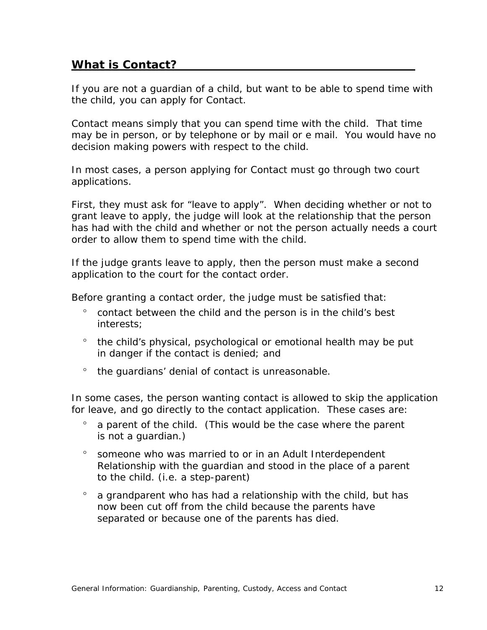#### **What is Contact?**

If you are not a guardian of a child, but want to be able to spend time with the child, you can apply for Contact.

Contact means simply that you can spend time with the child. That time may be in person, or by telephone or by mail or e mail. You would have no decision making powers with respect to the child.

In most cases, a person applying for Contact must go through two court applications.

First, they must ask for "leave to apply". When deciding whether or not to grant leave to apply, the judge will look at the relationship that the person has had with the child and whether or not the person actually needs a court order to allow them to spend time with the child.

If the judge grants leave to apply, then the person must make a second application to the court for the contact order.

Before granting a contact order, the judge must be satisfied that:

- contact between the child and the person is in the child's best interests;
- <sup>o</sup> the child's physical, psychological or emotional health may be put in danger if the contact is denied; and
- <sup>o</sup> the quardians' denial of contact is unreasonable.

In some cases, the person wanting contact is allowed to skip the application for leave, and go directly to the contact application. These cases are:

- $\degree$  a parent of the child. (This would be the case where the parent is not a guardian.)
- someone who was married to or in an Adult Interdependent Relationship with the guardian and stood in the place of a parent to the child. (i.e. a step-parent)
- $\degree$  a grandparent who has had a relationship with the child, but has now been cut off from the child because the parents have separated or because one of the parents has died.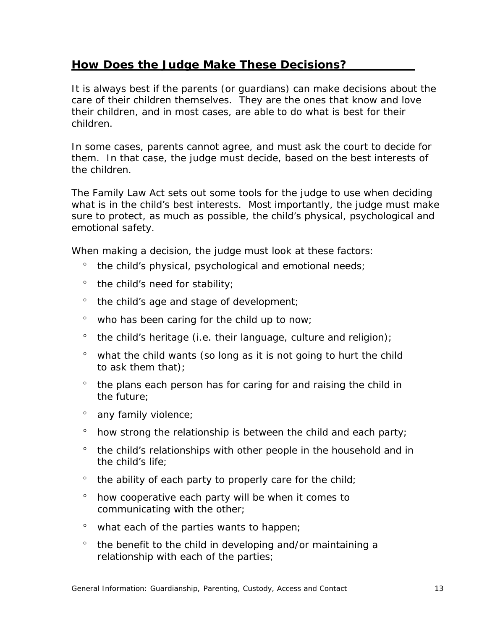#### **How Does the Judge Make These Decisions?**

It is always best if the parents (or guardians) can make decisions about the care of their children themselves. They are the ones that know and love their children, and in most cases, are able to do what is best for their children.

In some cases, parents cannot agree, and must ask the court to decide for them. In that case, the judge must decide, based on the best interests of the children.

The *Family Law Act* sets out some tools for the judge to use when deciding what is in the child's best interests. Most importantly, the judge must make sure to protect, as much as possible, the child's physical, psychological and emotional safety.

When making a decision, the judge must look at these factors:

- the child's physical, psychological and emotional needs;
- ° the child's need for stability;
- $\degree$  the child's age and stage of development;
- ° who has been caring for the child up to now;
- $\degree$  the child's heritage (i.e. their language, culture and religion);
- $\degree$  what the child wants (so long as it is not going to hurt the child to ask them that);
- <sup>o</sup> the plans each person has for caring for and raising the child in the future;
- <sup>o</sup> any family violence;
- $\degree$  how strong the relationship is between the child and each party;
- <sup>o</sup> the child's relationships with other people in the household and in the child's life;
- $\degree$  the ability of each party to properly care for the child;
- how cooperative each party will be when it comes to communicating with the other;
- $\degree$  what each of the parties wants to happen;
- the benefit to the child in developing and/or maintaining a relationship with each of the parties;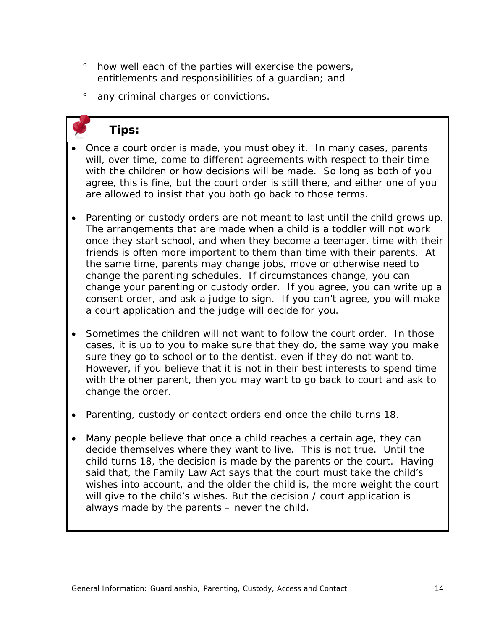- how well each of the parties will exercise the powers, entitlements and responsibilities of a guardian; and
- <sup>o</sup> any criminal charges or convictions.

## *Tips:*

- Once a court order is made, you must obey it. In many cases, parents will, over time, come to different agreements with respect to their time with the children or how decisions will be made. So long as both of you agree, this is fine, but the court order is still there, and either one of you are allowed to insist that you both go back to those terms.
- Parenting or custody orders are not meant to last until the child grows up. The arrangements that are made when a child is a toddler will not work once they start school, and when they become a teenager, time with their friends is often more important to them than time with their parents. At the same time, parents may change jobs, move or otherwise need to change the parenting schedules. If circumstances change, you can change your parenting or custody order. If you agree, you can write up a consent order, and ask a judge to sign. If you can't agree, you will make a court application and the judge will decide for you.
- Sometimes the children will not want to follow the court order. In those cases, it is up to you to make sure that they do, the same way you make sure they go to school or to the dentist, even if they do not want to. However, if you believe that it is not in their best interests to spend time with the other parent, then you may want to go back to court and ask to change the order.
- Parenting, custody or contact orders end once the child turns 18.
- Many people believe that once a child reaches a certain age, they can decide themselves where they want to live. This is not true. Until the child turns 18, the decision is made by the parents or the court. Having said that, the *Family Law Act* says that the court must take the child's wishes into account, and the older the child is, the more weight the court will give to the child's wishes. But the decision / court application is always made by the parents – never the child.